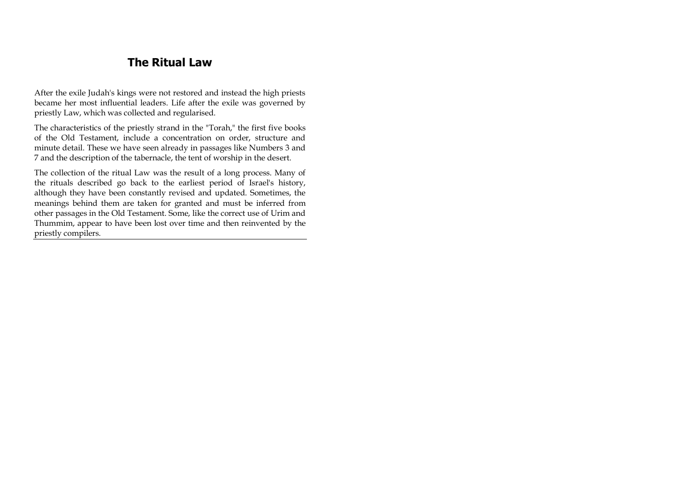# **The Ritual Law**

After the exile Judah's kings were not restored and instead the high priests became her most influential leaders. Life after the exile was governed by priestly Law, which was collected and regularised.

The characteristics of the priestly strand in the "Torah," the first five books of the Old Testament, include a concentration on order, structure and minute detail. These we have seen already in passages like Numbers 3 and 7 and the description of the tabernacle, the tent of worship in the desert.

The collection of the ritual Law was the result of a long process. Many of the rituals described go back to the earliest period of Israel's history, although they have been constantly revised and updated. Sometimes, the meanings behind them are taken for granted and must be inferred from other passages in the Old Testament. Some, like the correct use of Urim and Thummim, appear to have been lost over time and then reinvented by the priestly compilers.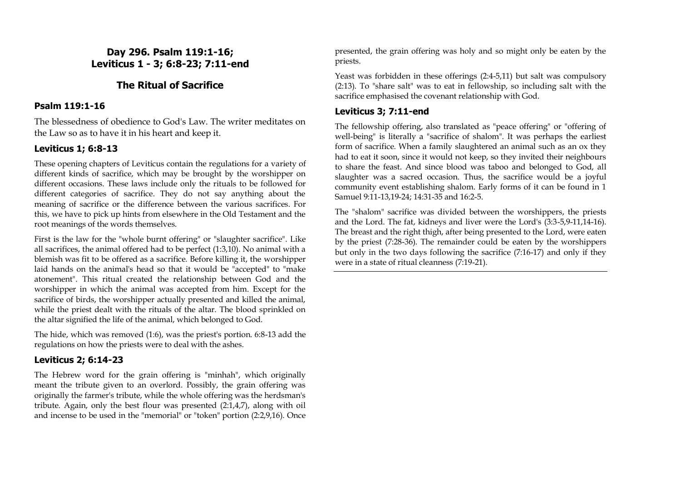### **Day 296. Psalm 119:1-16; Leviticus 1 - 3; 6:8-23; 7:11-end**

# **The Ritual of Sacrifice**

### **Psalm 119:1-16**

The blessedness of obedience to God's Law. The writer meditates on the Law so as to have it in his heart and keep it.

# **Leviticus 1; 6:8-13**

These opening chapters of Leviticus contain the regulations for a variety of different kinds of sacrifice, which may be brought by the worshipper on different occasions. These laws include only the rituals to be followed for different categories of sacrifice. They do not say anything about the meaning of sacrifice or the difference between the various sacrifices. For this, we have to pick up hints from elsewhere in the Old Testament and the root meanings of the words themselves.

First is the law for the "whole burnt offering" or "slaughter sacrifice". Like all sacrifices, the animal offered had to be perfect (1:3,10). No animal with a blemish was fit to be offered as a sacrifice. Before killing it, the worshipper laid hands on the animal's head so that it would be "accepted" to "make atonement". This ritual created the relationship between God and the worshipper in which the animal was accepted from him. Except for the sacrifice of birds, the worshipper actually presented and killed the animal, while the priest dealt with the rituals of the altar. The blood sprinkled on the altar signified the life of the animal, which belonged to God.

The hide, which was removed (1:6), was the priest's portion. 6:8-13 add the regulations on how the priests were to deal with the ashes.

#### **Leviticus 2; 6:14-23**

The Hebrew word for the grain offering is "minhah", which originally meant the tribute given to an overlord. Possibly, the grain offering was originally the farmer's tribute, while the whole offering was the herdsman's tribute. Again, only the best flour was presented (2:1,4,7), along with oil and incense to be used in the "memorial" or "token" portion (2:2,9,16). Once presented, the grain offering was holy and so might only be eaten by the priests.

Yeast was forbidden in these offerings (2:4-5,11) but salt was compulsory (2:13). To "share salt" was to eat in fellowship, so including salt with the sacrifice emphasised the covenant relationship with God.

### **Leviticus 3; 7:11-end**

The fellowship offering, also translated as "peace offering" or "offering of well-being" is literally a "sacrifice of shalom". It was perhaps the earliest form of sacrifice. When a family slaughtered an animal such as an ox they had to eat it soon, since it would not keep, so they invited their neighbours to share the feast. And since blood was taboo and belonged to God, all slaughter was a sacred occasion. Thus, the sacrifice would be a joyful community event establishing shalom. Early forms of it can be found in 1 Samuel 9:11-13,19-24; 14:31-35 and 16:2-5.

The "shalom" sacrifice was divided between the worshippers, the priests and the Lord. The fat, kidneys and liver were the Lord's (3:3-5,9-11,14-16). The breast and the right thigh, after being presented to the Lord, were eaten by the priest (7:28-36). The remainder could be eaten by the worshippers but only in the two days following the sacrifice (7:16-17) and only if they were in a state of ritual cleanness (7:19-21).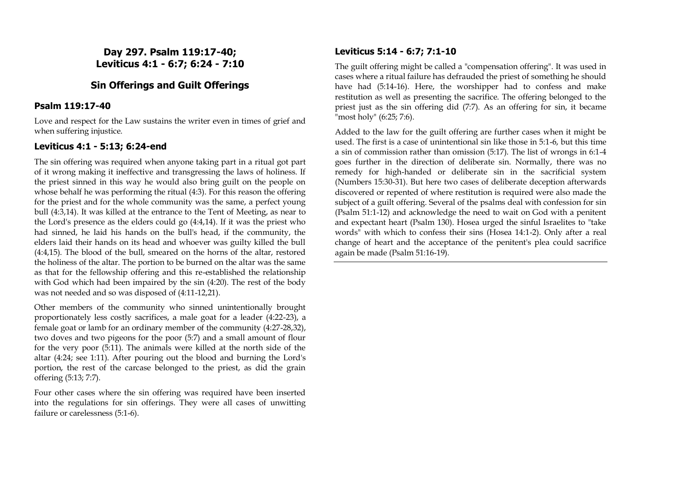**Day 297. Psalm 119:17-40; Leviticus 4:1 - 6:7; 6:24 - 7:10**

### **Sin Offerings and Guilt Offerings**

#### **Psalm 119:17-40**

Love and respect for the Law sustains the writer even in times of grief and when suffering injustice.

### **Leviticus 4:1 - 5:13; 6:24-end**

The sin offering was required when anyone taking part in a ritual got part of it wrong making it ineffective and transgressing the laws of holiness. If the priest sinned in this way he would also bring guilt on the people on whose behalf he was performing the ritual (4:3). For this reason the offering for the priest and for the whole community was the same, a perfect young bull (4:3,14). It was killed at the entrance to the Tent of Meeting, as near to the Lord's presence as the elders could go (4:4,14). If it was the priest who had sinned, he laid his hands on the bull's head, if the community, the elders laid their hands on its head and whoever was guilty killed the bull (4:4,15). The blood of the bull, smeared on the horns of the altar, restored the holiness of the altar. The portion to be burned on the altar was the same as that for the fellowship offering and this re-established the relationship with God which had been impaired by the sin (4:20). The rest of the body was not needed and so was disposed of (4:11-12,21).

Other members of the community who sinned unintentionally brought proportionately less costly sacrifices, a male goat for a leader (4:22-23), a female goat or lamb for an ordinary member of the community (4:27-28,32), two doves and two pigeons for the poor (5:7) and a small amount of flour for the very poor (5:11). The animals were killed at the north side of the altar (4:24; see 1:11). After pouring out the blood and burning the Lord's portion, the rest of the carcase belonged to the priest, as did the grain offering (5:13; 7:7).

Four other cases where the sin offering was required have been inserted into the regulations for sin offerings. They were all cases of unwitting failure or carelessness (5:1-6).

### **Leviticus 5:14 - 6:7; 7:1-10**

The guilt offering might be called a "compensation offering". It was used in cases where a ritual failure has defrauded the priest of something he should have had (5:14-16). Here, the worshipper had to confess and make restitution as well as presenting the sacrifice. The offering belonged to the priest just as the sin offering did (7:7). As an offering for sin, it became "most holy" (6:25; 7:6).

Added to the law for the guilt offering are further cases when it might be used. The first is a case of unintentional sin like those in 5:1-6, but this time a sin of commission rather than omission (5:17). The list of wrongs in 6:1-4 goes further in the direction of deliberate sin. Normally, there was no remedy for high-handed or deliberate sin in the sacrificial system (Numbers 15:30-31). But here two cases of deliberate deception afterwards discovered or repented of where restitution is required were also made the subject of a guilt offering. Several of the psalms deal with confession for sin (Psalm 51:1-12) and acknowledge the need to wait on God with a penitent and expectant heart (Psalm 130). Hosea urged the sinful Israelites to "take words" with which to confess their sins (Hosea 14:1-2). Only after a real change of heart and the acceptance of the penitent's plea could sacrifice again be made (Psalm 51:16-19).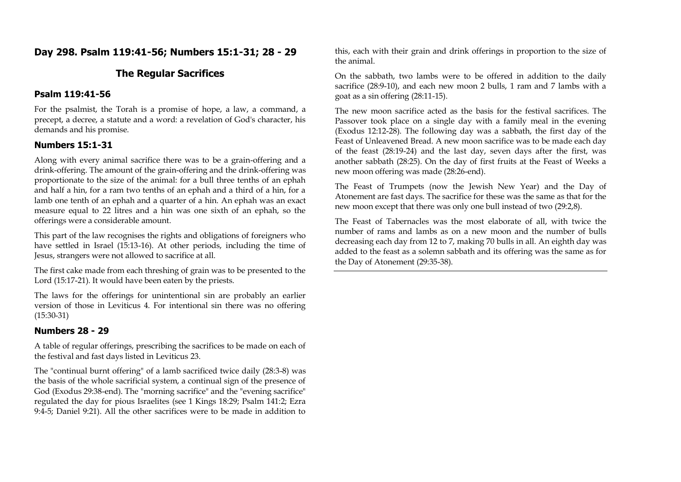# **Day 298. Psalm 119:41-56; Numbers 15:1-31; 28 - 29**

### **The Regular Sacrifices**

#### **Psalm 119:41-56**

For the psalmist, the Torah is a promise of hope, a law, a command, a precept, a decree, a statute and a word: a revelation of God's character, his demands and his promise.

#### **Numbers 15:1-31**

Along with every animal sacrifice there was to be a grain-offering and a drink-offering. The amount of the grain-offering and the drink-offering was proportionate to the size of the animal: for a bull three tenths of an ephah and half a hin, for a ram two tenths of an ephah and a third of a hin, for a lamb one tenth of an ephah and a quarter of a hin. An ephah was an exact measure equal to 22 litres and a hin was one sixth of an ephah, so the offerings were a considerable amount.

This part of the law recognises the rights and obligations of foreigners who have settled in Israel (15:13-16). At other periods, including the time of Jesus, strangers were not allowed to sacrifice at all.

The first cake made from each threshing of grain was to be presented to the Lord (15:17-21). It would have been eaten by the priests.

The laws for the offerings for unintentional sin are probably an earlier version of those in Leviticus 4. For intentional sin there was no offering (15:30-31)

#### **Numbers 28 - 29**

A table of regular offerings, prescribing the sacrifices to be made on each of the festival and fast days listed in Leviticus 23.

The "continual burnt offering" of a lamb sacrificed twice daily (28:3-8) was the basis of the whole sacrificial system, a continual sign of the presence of God (Exodus 29:38-end). The "morning sacrifice" and the "evening sacrifice" regulated the day for pious Israelites (see 1 Kings 18:29; Psalm 141:2; Ezra 9:4-5; Daniel 9:21). All the other sacrifices were to be made in addition to this, each with their grain and drink offerings in proportion to the size of the animal.

On the sabbath, two lambs were to be offered in addition to the daily sacrifice (28:9-10), and each new moon 2 bulls, 1 ram and 7 lambs with a goat as a sin offering (28:11-15).

The new moon sacrifice acted as the basis for the festival sacrifices. The Passover took place on a single day with a family meal in the evening (Exodus 12:12-28). The following day was a sabbath, the first day of the Feast of Unleavened Bread. A new moon sacrifice was to be made each day of the feast (28:19-24) and the last day, seven days after the first, was another sabbath (28:25). On the day of first fruits at the Feast of Weeks a new moon offering was made (28:26-end).

The Feast of Trumpets (now the Jewish New Year) and the Day of Atonement are fast days. The sacrifice for these was the same as that for the new moon except that there was only one bull instead of two (29:2,8).

The Feast of Tabernacles was the most elaborate of all, with twice the number of rams and lambs as on a new moon and the number of bulls decreasing each day from 12 to 7, making 70 bulls in all. An eighth day was added to the feast as a solemn sabbath and its offering was the same as for the Day of Atonement (29:35-38).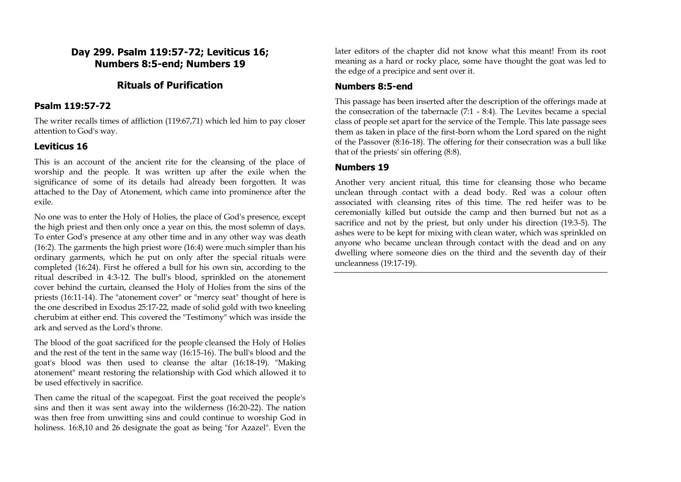### **Day 299. Psalm 119:57-72; Leviticus 16; Numbers 8:5-end; Numbers 19**

### **Rituals of Purification**

#### **Psalm 119:57-72**

The writer recalls times of affliction (119:67,71) which led him to pay closer attention to God's way.

#### **Leviticus 16**

This is an account of the ancient rite for the cleansing of the place of worship and the people. It was written up after the exile when the significance of some of its details had already been forgotten. It was attached to the Day of Atonement, which came into prominence after the exile.

No one was to enter the Holy of Holies, the place of God's presence, except the high priest and then only once a year on this, the most solemn of days. To enter God's presence at any other time and in any other way was death (16:2). The garments the high priest wore (16:4) were much simpler than his ordinary garments, which he put on only after the special rituals were completed (16:24). First he offered a bull for his own sin, according to the ritual described in 4:3-12. The bull's blood, sprinkled on the atonement cover behind the curtain, cleansed the Holy of Holies from the sins of the priests (16:11-14). The "atonement cover" or "mercy seat" thought of here is the one described in Exodus 25:17-22, made of solid gold with two kneeling cherubim at either end. This covered the "Testimony" which was inside the ark and served as the Lord's throne.

The blood of the goat sacrificed for the people cleansed the Holy of Holies and the rest of the tent in the same way (16:15-16). The bull's blood and the goat's blood was then used to cleanse the altar (16:18-19). "Making atonement" meant restoring the relationship with God which allowed it to be used effectively in sacrifice.

Then came the ritual of the scapegoat. First the goat received the people's sins and then it was sent away into the wilderness (16:20-22). The nation was then free from unwitting sins and could continue to worship God in holiness. 16:8,10 and 26 designate the goat as being "for Azazel". Even the

later editors of the chapter did not know what this meant! From its root meaning as a hard or rocky place, some have thought the goat was led to the edge of a precipice and sent over it.

#### **Numbers 8:5-end**

This passage has been inserted after the description of the offerings made at the consecration of the tabernacle (7:1 - 8:4). The Levites became a special class of people set apart for the service of the Temple. This late passage sees them as taken in place of the first-born whom the Lord spared on the night of the Passover (8:16-18). The offering for their consecration was a bull like that of the priests' sin offering (8:8).

#### **Numbers 19**

Another very ancient ritual, this time for cleansing those who became unclean through contact with a dead body. Red was a colour often associated with cleansing rites of this time. The red heifer was to be ceremonially killed but outside the camp and then burned but not as a sacrifice and not by the priest, but only under his direction (19:3-5). The ashes were to be kept for mixing with clean water, which was sprinkled on anyone who became unclean through contact with the dead and on any dwelling where someone dies on the third and the seventh day of their uncleanness (19:17-19).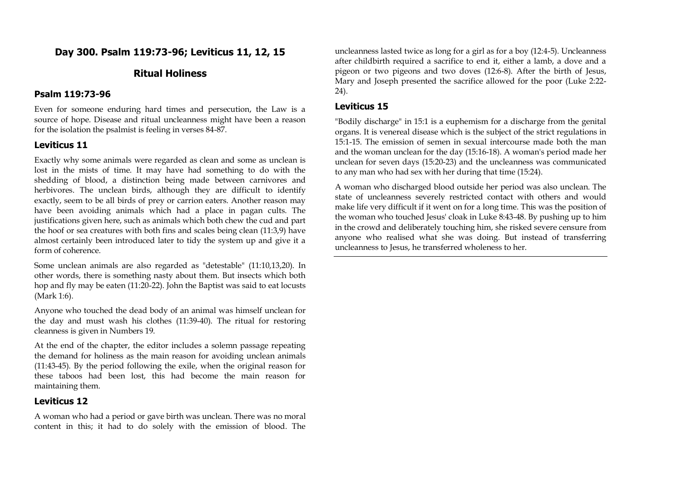### **Day 300. Psalm 119:73-96; Leviticus 11, 12, 15**

### **Ritual Holiness**

#### **Psalm 119:73-96**

Even for someone enduring hard times and persecution, the Law is a source of hope. Disease and ritual uncleanness might have been a reason for the isolation the psalmist is feeling in verses 84-87.

#### **Leviticus 11**

Exactly why some animals were regarded as clean and some as unclean is lost in the mists of time. It may have had something to do with the shedding of blood, a distinction being made between carnivores and herbivores. The unclean birds, although they are difficult to identify exactly, seem to be all birds of prey or carrion eaters. Another reason may have been avoiding animals which had a place in pagan cults. The justifications given here, such as animals which both chew the cud and part the hoof or sea creatures with both fins and scales being clean (11:3,9) have almost certainly been introduced later to tidy the system up and give it a form of coherence.

Some unclean animals are also regarded as "detestable" (11:10,13,20). In other words, there is something nasty about them. But insects which both hop and fly may be eaten (11:20-22). John the Baptist was said to eat locusts (Mark 1:6).

Anyone who touched the dead body of an animal was himself unclean for the day and must wash his clothes (11:39-40). The ritual for restoring cleanness is given in Numbers 19.

At the end of the chapter, the editor includes a solemn passage repeating the demand for holiness as the main reason for avoiding unclean animals (11:43-45). By the period following the exile, when the original reason for these taboos had been lost, this had become the main reason for maintaining them.

#### **Leviticus 12**

A woman who had a period or gave birth was unclean. There was no moral content in this; it had to do solely with the emission of blood. The

uncleanness lasted twice as long for a girl as for a boy (12:4-5). Uncleanness after childbirth required a sacrifice to end it, either a lamb, a dove and a pigeon or two pigeons and two doves (12:6-8). After the birth of Jesus, Mary and Joseph presented the sacrifice allowed for the poor (Luke 2:22- 24).

#### **Leviticus 15**

"Bodily discharge" in 15:1 is a euphemism for a discharge from the genital organs. It is venereal disease which is the subject of the strict regulations in 15:1-15. The emission of semen in sexual intercourse made both the man and the woman unclean for the day (15:16-18). A woman's period made her unclean for seven days (15:20-23) and the uncleanness was communicated to any man who had sex with her during that time (15:24).

A woman who discharged blood outside her period was also unclean. The state of uncleanness severely restricted contact with others and would make life very difficult if it went on for a long time. This was the position of the woman who touched Jesus' cloak in Luke 8:43-48. By pushing up to him in the crowd and deliberately touching him, she risked severe censure from anyone who realised what she was doing. But instead of transferring uncleanness to Jesus, he transferred wholeness to her.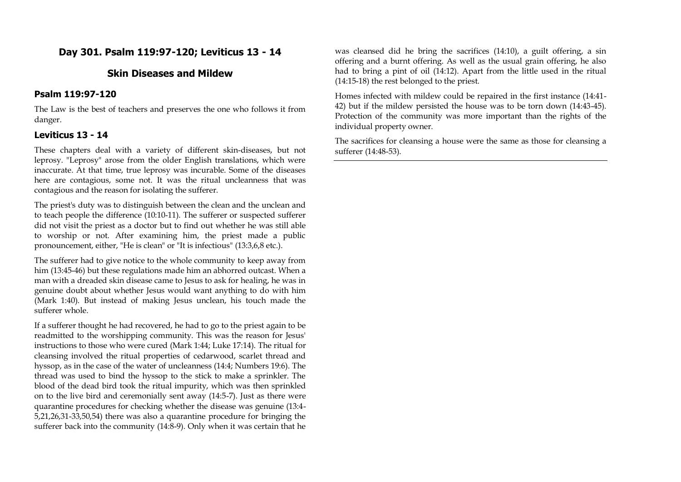# **Day 301. Psalm 119:97-120; Leviticus 13 - 14**

### **Skin Diseases and Mildew**

#### **Psalm 119:97-120**

The Law is the best of teachers and preserves the one who follows it from danger.

#### **Leviticus 13 - 14**

These chapters deal with a variety of different skin-diseases, but not leprosy. "Leprosy" arose from the older English translations, which were inaccurate. At that time, true leprosy was incurable. Some of the diseases here are contagious, some not. It was the ritual uncleanness that was contagious and the reason for isolating the sufferer.

The priest's duty was to distinguish between the clean and the unclean and to teach people the difference (10:10-11). The sufferer or suspected sufferer did not visit the priest as a doctor but to find out whether he was still able to worship or not. After examining him, the priest made a public pronouncement, either, "He is clean" or "It is infectious" (13:3,6,8 etc.).

The sufferer had to give notice to the whole community to keep away from him (13:45-46) but these regulations made him an abhorred outcast. When a man with a dreaded skin disease came to Jesus to ask for healing, he was in genuine doubt about whether Jesus would want anything to do with him (Mark 1:40). But instead of making Jesus unclean, his touch made the sufferer whole.

If a sufferer thought he had recovered, he had to go to the priest again to be readmitted to the worshipping community. This was the reason for Jesus' instructions to those who were cured (Mark 1:44; Luke 17:14). The ritual for cleansing involved the ritual properties of cedarwood, scarlet thread and hyssop, as in the case of the water of uncleanness (14:4; Numbers 19:6). The thread was used to bind the hyssop to the stick to make a sprinkler. The blood of the dead bird took the ritual impurity, which was then sprinkled on to the live bird and ceremonially sent away (14:5-7). Just as there were quarantine procedures for checking whether the disease was genuine (13:4- 5,21,26,31-33,50,54) there was also a quarantine procedure for bringing the sufferer back into the community (14:8-9). Only when it was certain that he was cleansed did he bring the sacrifices (14:10), a guilt offering, a sin offering and a burnt offering. As well as the usual grain offering, he also had to bring a pint of oil (14:12). Apart from the little used in the ritual (14:15-18) the rest belonged to the priest.

Homes infected with mildew could be repaired in the first instance (14:41- 42) but if the mildew persisted the house was to be torn down (14:43-45). Protection of the community was more important than the rights of the individual property owner.

The sacrifices for cleansing a house were the same as those for cleansing a sufferer (14:48-53).